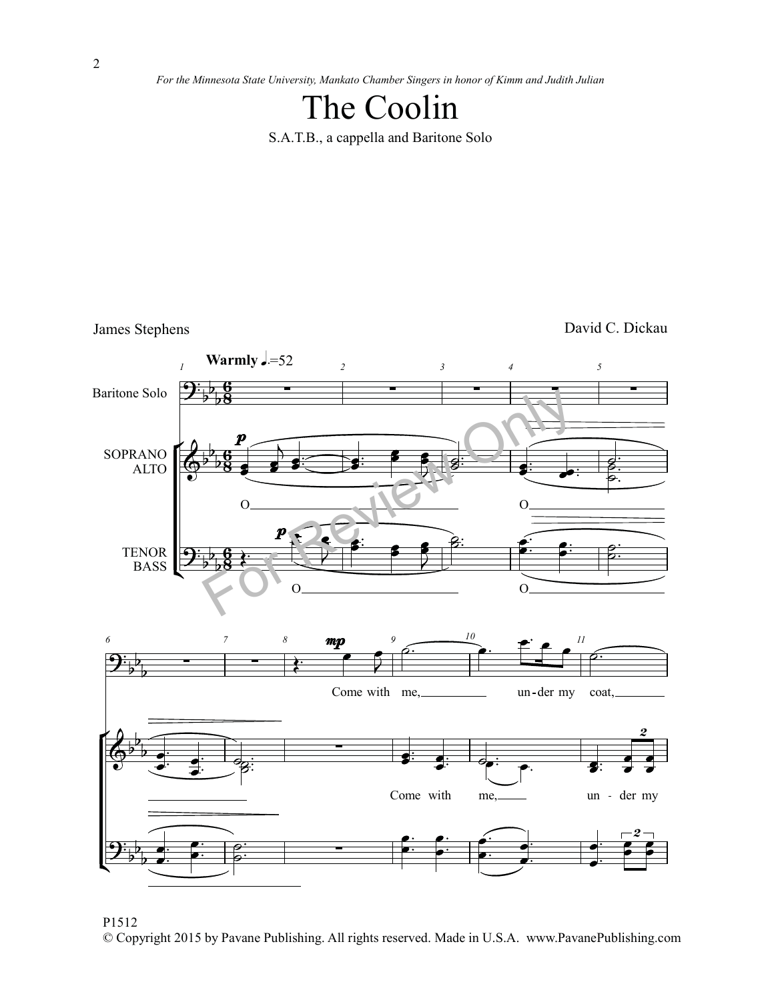For the Minnesota State University, Mankato Chamber Singers in honor of Kimm and Judith Julian



S.A.T.B., a cappella and Baritone Solo

James Stephens

David C. Dickau



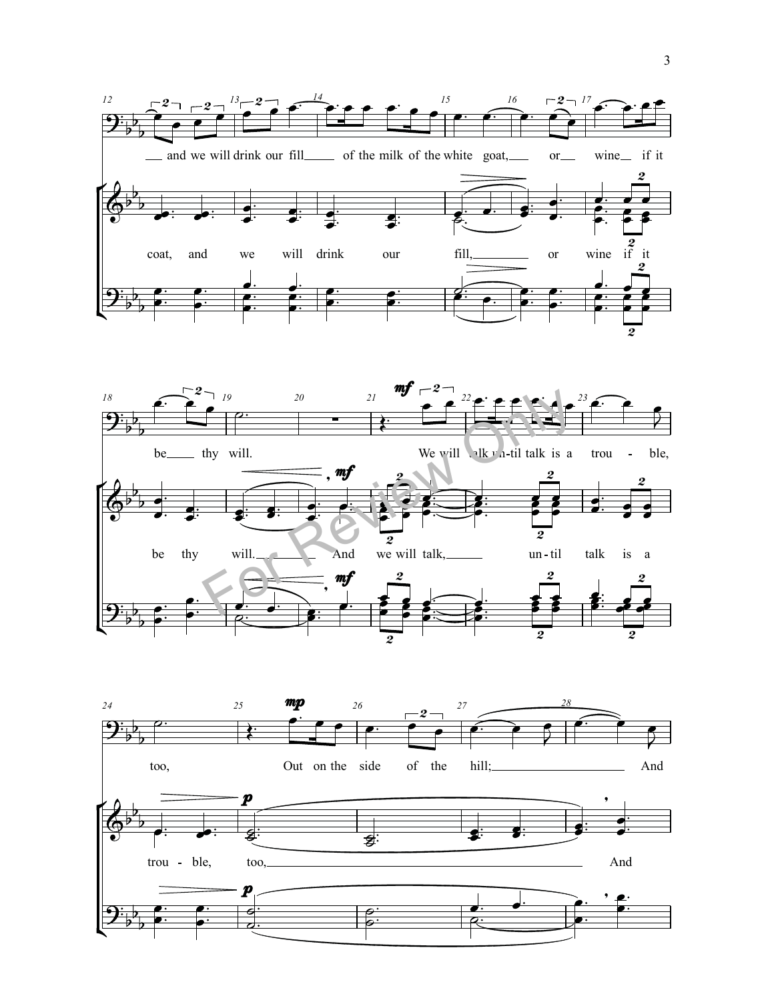



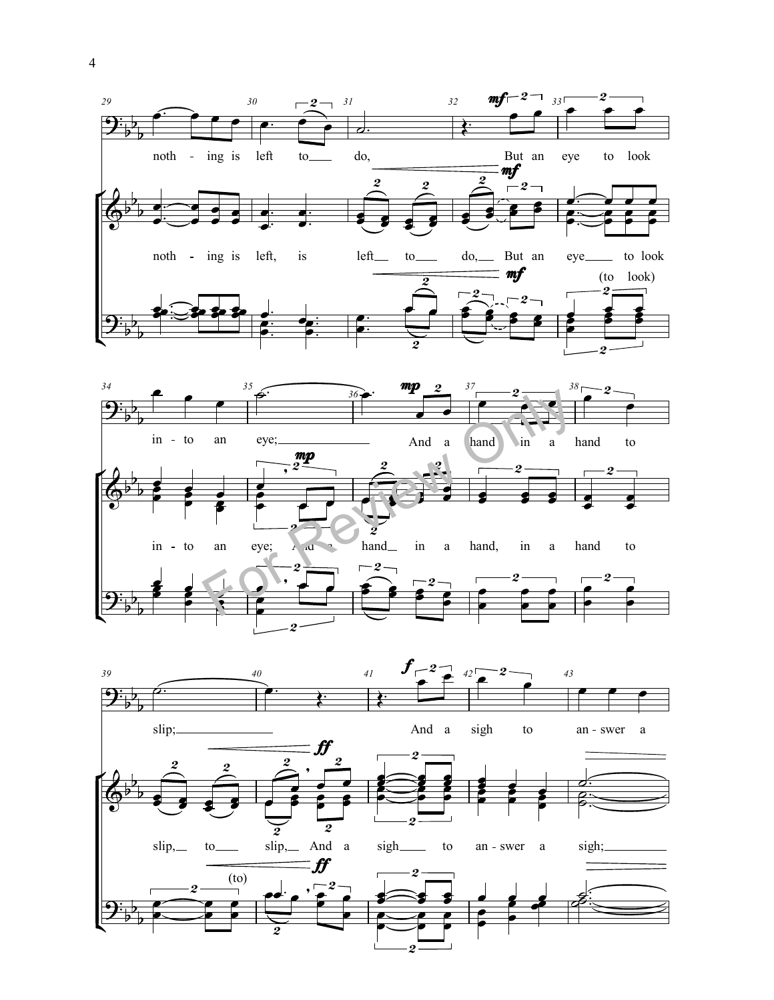



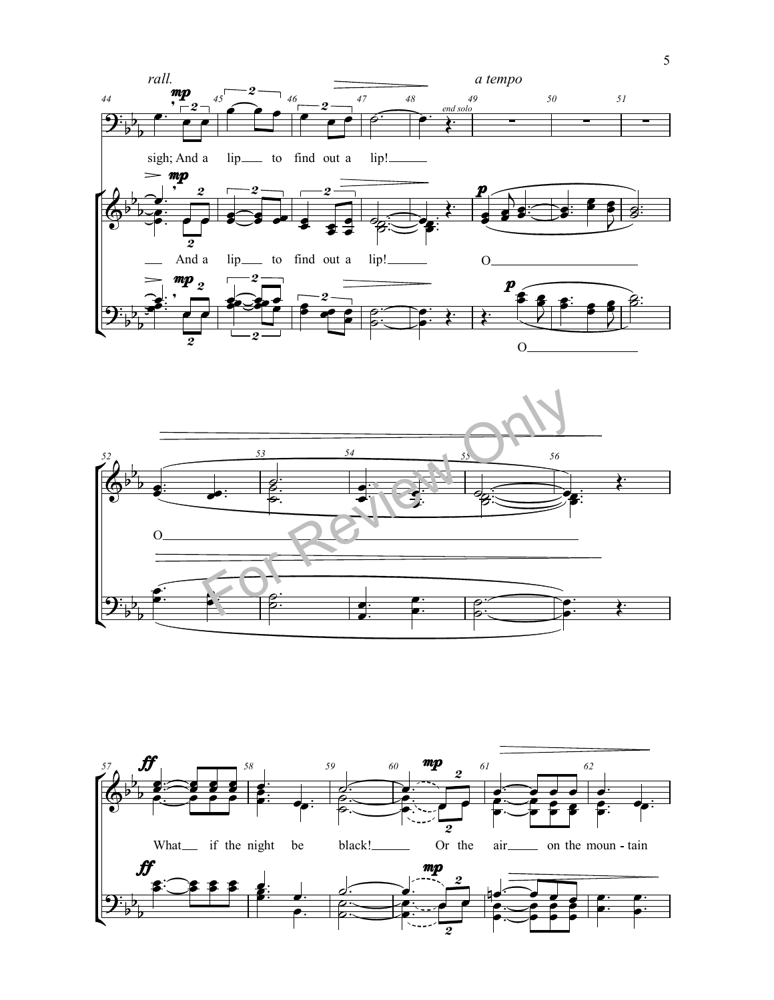



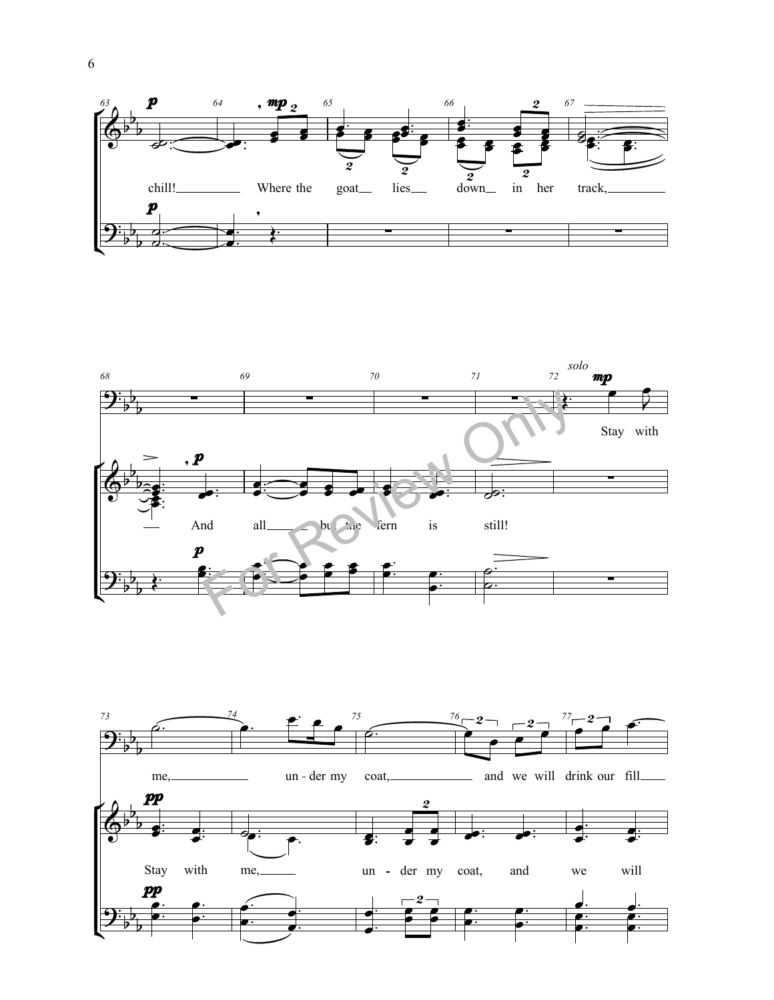



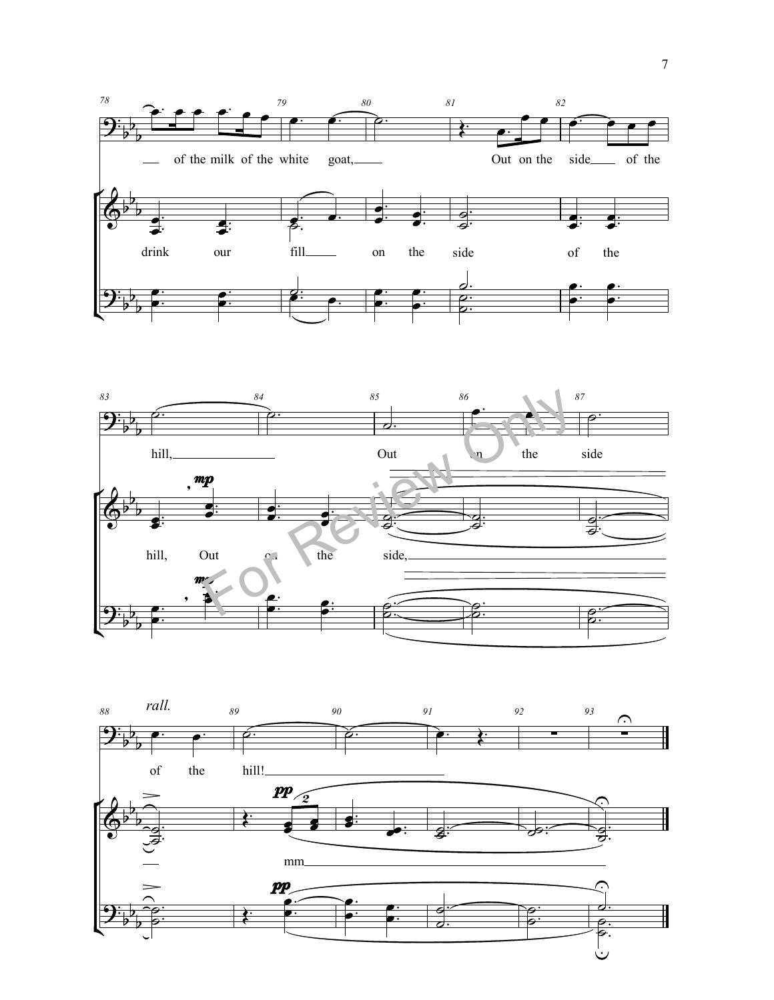